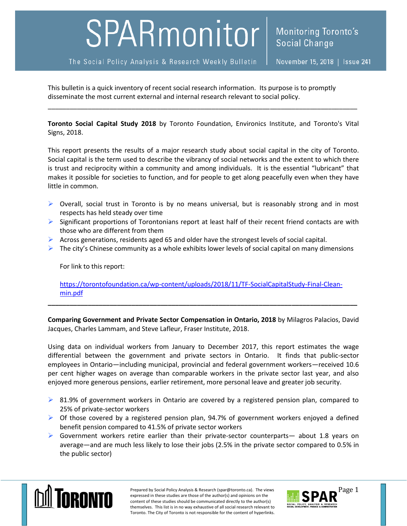## SPARmonitor

The Social Policy Analysis & Research Weekly Bulletin

November 15, 2018 | Issue 241

This bulletin is a quick inventory of recent social research information. Its purpose is to promptly disseminate the most current external and internal research relevant to social policy.

**Toronto Social Capital Study 2018** by Toronto Foundation, Environics Institute, and Toronto's Vital Signs, 2018.

\_\_\_\_\_\_\_\_\_\_\_\_\_\_\_\_\_\_\_\_\_\_\_\_\_\_\_\_\_\_\_\_\_\_\_\_\_\_\_\_\_\_\_\_\_\_\_\_\_\_\_\_\_\_\_\_\_\_\_\_\_\_\_\_\_\_\_\_\_\_\_\_\_\_\_\_\_\_\_\_\_\_\_\_\_

This report presents the results of a major research study about social capital in the city of Toronto. Social capital is the term used to describe the vibrancy of social networks and the extent to which there is trust and reciprocity within a community and among individuals. It is the essential "lubricant" that makes it possible for societies to function, and for people to get along peacefully even when they have little in common.

- $\triangleright$  Overall, social trust in Toronto is by no means universal, but is reasonably strong and in most respects has held steady over time
- $\triangleright$  Significant proportions of Torontonians report at least half of their recent friend contacts are with those who are different from them
- $\triangleright$  Across generations, residents aged 65 and older have the strongest levels of social capital.
- $\triangleright$  The city's Chinese community as a whole exhibits lower levels of social capital on many dimensions

For link to this report:

[https://torontofoundation.ca/wp-content/uploads/2018/11/TF-SocialCapitalStudy-Final-Clean](https://torontofoundation.ca/wp-content/uploads/2018/11/TF-SocialCapitalStudy-Final-Clean-min.pdf)[min.pdf](https://torontofoundation.ca/wp-content/uploads/2018/11/TF-SocialCapitalStudy-Final-Clean-min.pdf)

**\_\_\_\_\_\_\_\_\_\_\_\_\_\_\_\_\_\_\_\_\_\_\_\_\_\_\_\_\_\_\_\_\_\_\_\_\_\_\_\_\_\_\_\_\_\_\_\_\_\_\_\_\_\_\_\_\_\_\_\_\_\_\_\_\_\_\_\_\_\_\_\_\_\_\_\_\_\_\_\_\_\_\_\_\_**

**Comparing Government and Private Sector Compensation in Ontario, 2018** by Milagros Palacios, David Jacques, Charles Lammam, and Steve Lafleur, Fraser Institute, 2018.

Using data on individual workers from January to December 2017, this report estimates the wage differential between the government and private sectors in Ontario. It finds that public-sector employees in Ontario—including municipal, provincial and federal government workers—received 10.6 per cent higher wages on average than comparable workers in the private sector last year, and also enjoyed more generous pensions, earlier retirement, more personal leave and greater job security.

- $\triangleright$  81.9% of government workers in Ontario are covered by a registered pension plan, compared to 25% of private-sector workers
- $\triangleright$  Of those covered by a registered pension plan, 94.7% of government workers enjoyed a defined benefit pension compared to 41.5% of private sector workers
- $\triangleright$  Government workers retire earlier than their private-sector counterparts— about 1.8 years on average—and are much less likely to lose their jobs (2.5% in the private sector compared to 0.5% in the public sector)



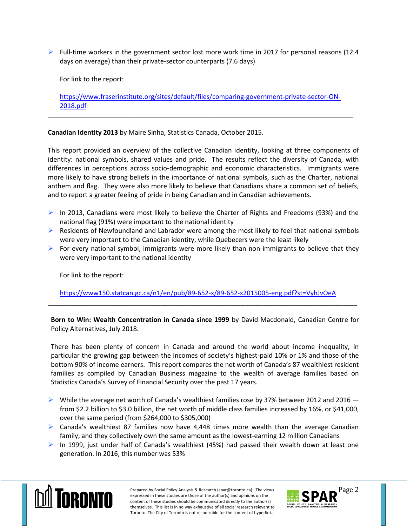$\triangleright$  Full-time workers in the government sector lost more work time in 2017 for personal reasons (12.4) days on average) than their private-sector counterparts (7.6 days)

For link to the report:

[https://www.fraserinstitute.org/sites/default/files/comparing-government-private-sector-ON-](https://www.fraserinstitute.org/sites/default/files/comparing-government-private-sector-ON-2018.pdf)[2018.pdf](https://www.fraserinstitute.org/sites/default/files/comparing-government-private-sector-ON-2018.pdf)

\_\_\_\_\_\_\_\_\_\_\_\_\_\_\_\_\_\_\_\_\_\_\_\_\_\_\_\_\_\_\_\_\_\_\_\_\_\_\_\_\_\_\_\_\_\_\_\_\_\_\_\_\_\_\_\_\_\_\_\_\_\_\_\_\_\_\_\_\_\_\_\_\_\_\_\_\_\_\_\_\_\_\_\_

**Canadian Identity 2013** by Maire Sinha, Statistics Canada, October 2015.

This report provided an overview of the collective Canadian identity, looking at three components of identity: national symbols, shared values and pride. The results reflect the diversity of Canada, with differences in perceptions across socio-demographic and economic characteristics. Immigrants were more likely to have strong beliefs in the importance of national symbols, such as the Charter, national anthem and flag. They were also more likely to believe that Canadians share a common set of beliefs, and to report a greater feeling of pride in being Canadian and in Canadian achievements.

- In 2013, Canadians were most likely to believe the Charter of Rights and Freedoms (93%) and the national flag (91%) were important to the national identity
- $\triangleright$  Residents of Newfoundland and Labrador were among the most likely to feel that national symbols were very important to the Canadian identity, while Quebecers were the least likely
- For every national symbol, immigrants were more likely than non-immigrants to believe that they were very important to the national identity

For link to the report:

<https://www150.statcan.gc.ca/n1/en/pub/89-652-x/89-652-x2015005-eng.pdf?st=VyhJvOeA>

\_\_\_\_\_\_\_\_\_\_\_\_\_\_\_\_\_\_\_\_\_\_\_\_\_\_\_\_\_\_\_\_\_\_\_\_\_\_\_\_\_\_\_\_\_\_\_\_\_\_\_\_\_\_\_\_\_\_\_\_\_\_\_\_\_\_\_\_\_\_\_\_\_\_\_\_\_\_\_\_\_\_\_\_\_

**Born to Win: Wealth Concentration in Canada since 1999** by David Macdonald, Canadian Centre for Policy Alternatives, July 2018.

There has been plenty of concern in Canada and around the world about income inequality, in particular the growing gap between the incomes of society's highest-paid 10% or 1% and those of the bottom 90% of income earners. This report compares the net worth of Canada's 87 wealthiest resident families as compiled by Canadian Business magazine to the wealth of average families based on Statistics Canada's Survey of Financial Security over the past 17 years.

- $\triangleright$  While the average net worth of Canada's wealthiest families rose by 37% between 2012 and 2016  $$ from \$2.2 billion to \$3.0 billion, the net worth of middle class families increased by 16%, or \$41,000, over the same period (from \$264,000 to \$305,000)
- $\triangleright$  Canada's wealthiest 87 families now have 4,448 times more wealth than the average Canadian family, and they collectively own the same amount as the lowest-earning 12 million Canadians
- $\triangleright$  In 1999, just under half of Canada's wealthiest (45%) had passed their wealth down at least one generation. In 2016, this number was 53%